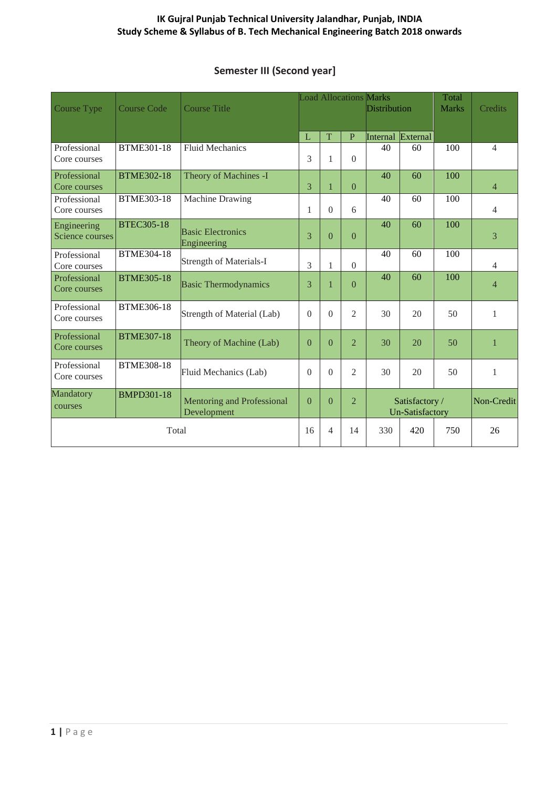### **IK Gujral Punjab Technical University Jalandhar, Punjab, INDIA Study Scheme & Syllabus of B. Tech Mechanical Engineering Batch 2018 onwards**

# **Semester III (Second year]**

| Course Type                    | <b>Course Code</b> | <b>Course Title</b>                              | <b>Load Allocations Marks</b> |          |                                                            | Distribution |          | <b>Credits</b> |                |
|--------------------------------|--------------------|--------------------------------------------------|-------------------------------|----------|------------------------------------------------------------|--------------|----------|----------------|----------------|
|                                |                    |                                                  | L                             | T        | $\mathbf P$                                                | Internal     | External |                |                |
| Professional<br>Core courses   | <b>BTME301-18</b>  | <b>Fluid Mechanics</b>                           | 3                             | 1        | $\overline{0}$                                             | 40           | 60       | 100            | $\overline{4}$ |
| Professional<br>Core courses   | <b>BTME302-18</b>  | Theory of Machines -I                            | $\overline{3}$                | 1        | $\overline{0}$                                             | 40           | 60       | 100            | $\overline{4}$ |
| Professional<br>Core courses   | <b>BTME303-18</b>  | Machine Drawing                                  | 1                             | $\theta$ | 6                                                          | 40           | 60       | 100            | $\overline{4}$ |
| Engineering<br>Science courses | <b>BTEC305-18</b>  | <b>Basic Electronics</b><br>Engineering          | 3                             | $\theta$ | $\overline{0}$                                             | 40           | 60       | 100            | 3              |
| Professional<br>Core courses   | <b>BTME304-18</b>  | <b>Strength of Materials-I</b>                   | 3                             | 1        | $\Omega$                                                   | 40           | 60       | 100            | $\overline{4}$ |
| Professional<br>Core courses   | <b>BTME305-18</b>  | <b>Basic Thermodynamics</b>                      | 3                             | 1        | $\Omega$                                                   | 40           | 60       | 100            | $\overline{4}$ |
| Professional<br>Core courses   | <b>BTME306-18</b>  | Strength of Material (Lab)                       | $\Omega$                      | $\Omega$ | $\overline{2}$                                             | 30           | 20       | 50             | $\mathbf{1}$   |
| Professional<br>Core courses   | <b>BTME307-18</b>  | Theory of Machine (Lab)                          | $\theta$                      | $\Omega$ | $\overline{2}$                                             | 30           | 20       | 50             | $\mathbf{1}$   |
| Professional<br>Core courses   | <b>BTME308-18</b>  | Fluid Mechanics (Lab)                            | $\theta$                      | $\theta$ | $\mathfrak{2}$                                             | 30           | 20       | 50             | $\mathbf{1}$   |
| Mandatory<br>courses           | <b>BMPD301-18</b>  | <b>Mentoring and Professional</b><br>Development | $\overline{0}$                | $\theta$ | $\overline{2}$<br>Satisfactory /<br><b>Un-Satisfactory</b> |              |          | Non-Credit     |                |
| Total                          |                    | 16                                               | $\overline{4}$                | 14       | 330                                                        | 420          | 750      | 26             |                |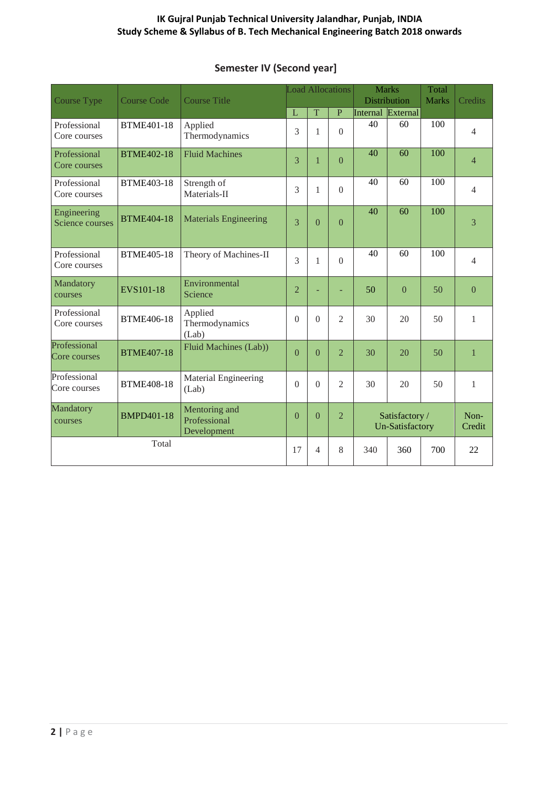### **IK Gujral Punjab Technical University Jalandhar, Punjab, INDIA Study Scheme & Syllabus of B. Tech Mechanical Engineering Batch 2018 onwards**

| <b>Course Type</b>             | <b>Course Code</b> | <b>Load Allocations</b><br><b>Course Title</b> |                |             | <b>Marks</b><br><b>Distribution</b> |                   | Total<br><b>Marks</b>                    | <b>Credits</b> |                |
|--------------------------------|--------------------|------------------------------------------------|----------------|-------------|-------------------------------------|-------------------|------------------------------------------|----------------|----------------|
|                                |                    |                                                | L              | $\mathbf T$ | ${\bf P}$                           | Internal External |                                          |                |                |
| Professional<br>Core courses   | <b>BTME401-18</b>  | Applied<br>Thermodynamics                      | 3              | 1           | $\overline{0}$                      | 40                | 60                                       | 100            | $\overline{4}$ |
| Professional<br>Core courses   | <b>BTME402-18</b>  | <b>Fluid Machines</b>                          | 3              | 1           | $\Omega$                            | 40                | 60                                       | 100            | $\overline{4}$ |
| Professional<br>Core courses   | <b>BTME403-18</b>  | Strength of<br>Materials-II                    | 3              | 1           | $\Omega$                            | 40                | 60                                       | 100            | $\overline{4}$ |
| Engineering<br>Science courses | <b>BTME404-18</b>  | <b>Materials Engineering</b>                   | 3              | $\theta$    | $\theta$                            | 40                | 60                                       | 100            | 3              |
| Professional<br>Core courses   | <b>BTME405-18</b>  | Theory of Machines-II                          | $\mathcal{E}$  | 1           | $\Omega$                            | 40                | 60                                       | 100            | $\overline{4}$ |
| Mandatory<br>courses           | EVS101-18          | Environmental<br>Science                       | $\overline{2}$ |             | ÷,                                  | 50                | $\theta$                                 | 50             | $\theta$       |
| Professional<br>Core courses   | <b>BTME406-18</b>  | Applied<br>Thermodynamics<br>(Lab)             | $\overline{0}$ | $\theta$    | $\overline{2}$                      | 30                | 20                                       | 50             | $\mathbf{1}$   |
| Professional<br>Core courses   | <b>BTME407-18</b>  | Fluid Machines (Lab))                          | $\Omega$       | $\theta$    | $\overline{2}$                      | 30                | 20                                       | 50             | $\mathbf{1}$   |
| Professional<br>Core courses   | <b>BTME408-18</b>  | Material Engineering<br>(Lab)                  | $\Omega$       | $\Omega$    | $\mathfrak{D}$                      | 30                | 20                                       | 50             | $\mathbf{1}$   |
| Mandatory<br>courses           | <b>BMPD401-18</b>  | Mentoring and<br>Professional<br>Development   | $\Omega$       | $\theta$    | $\overline{2}$                      |                   | Satisfactory /<br><b>Un-Satisfactory</b> |                | Non-<br>Credit |
|                                | Total              |                                                | 17             | 4           | 8                                   | 340               | 360                                      | 700            | 22             |

## **Semester IV (Second year]**